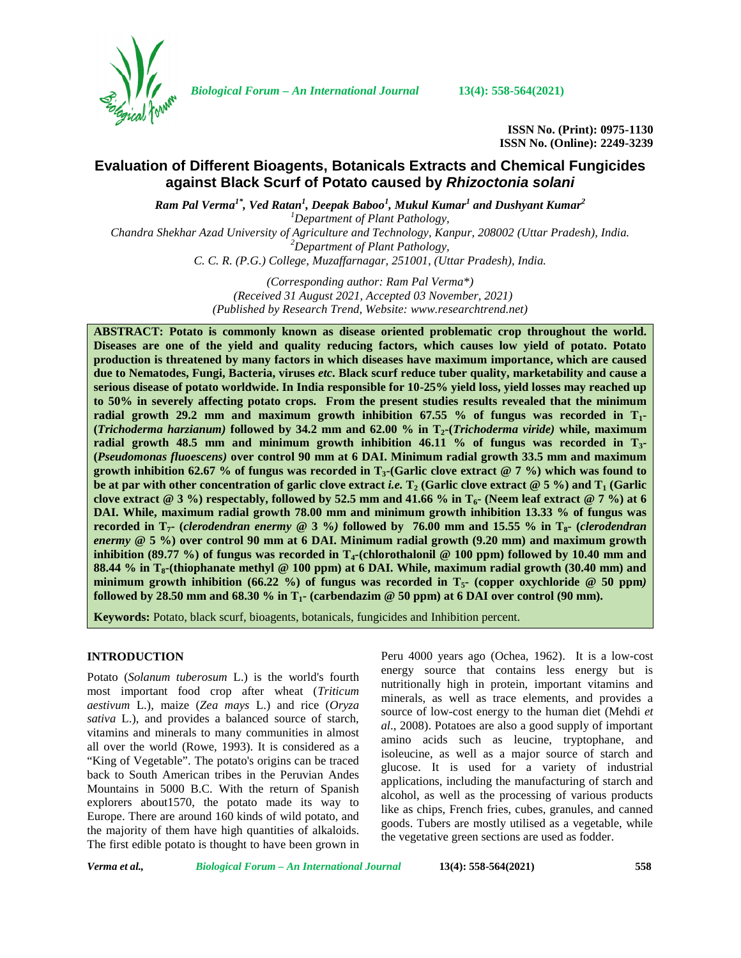

*Biological Forum – An International Journal* **13(4): 558-564(2021)**

**ISSN No. (Print): 0975-1130 ISSN No. (Online): 2249-3239**

# **Evaluation of Different Bioagents, Botanicals Extracts and Chemical Fungicides against Black Scurf of Potato caused by** *Rhizoctonia solani*

*Ram Pal Verma1\* , Ved Ratan<sup>1</sup> , Deepak Baboo<sup>1</sup> , Mukul Kumar<sup>1</sup> and Dushyant Kumar<sup>2</sup>*

*<sup>1</sup>Department of Plant Pathology, Chandra Shekhar Azad University of Agriculture and Technology, Kanpur, 208002 (Uttar Pradesh), India. <sup>2</sup>Department of Plant Pathology, C. C. R. (P.G.) College, Muzaffarnagar, 251001, (Uttar Pradesh), India.*

> *(Corresponding author: Ram Pal Verma\*) (Received 31 August 2021, Accepted 03 November, 2021) (Published by Research Trend, Website: [www.researchtrend.net\)](www.researchtrend.net)*

**ABSTRACT: Potato is commonly known as disease oriented problematic crop throughout the world. Diseases are one of the yield and quality reducing factors, which causes low yield of potato. Potato production is threatened by many factors in which diseases have maximum importance, which are caused due to Nematodes, Fungi, Bacteria, viruses** *etc***. Black scurf reduce tuber quality, marketability and cause a serious disease of potato worldwide. In India responsible for 10-25% yield loss, yield losses may reached up to 50% in severely affecting potato crops. From the present studies results revealed that the minimum radial growth 29.2 mm and maximum growth inhibition 67.55 % of fungus was recorded in T1- (***Trichoderma harzianum)* **followed by 34.2 mm and 62.00 % in T2-(***Trichoderma viride)* **while, maximum radial growth 48.5 mm and minimum growth inhibition 46.11 % of fungus was recorded in T3- (***Pseudomonas fluoescens)* **over control 90 mm at 6 DAI. Minimum radial growth 33.5 mm and maximum growth inhibition 62.67 % of fungus was recorded in T3-(Garlic clove extract @ 7 %) which was found to be at par with other concentration of garlic clove extract** *i.e.* $T_2$  **(Garlic clove extract**  $\emptyset$  **5 %) and**  $T_1$  **(Garlic clove extract @ 3 %) respectably, followed by 52.5 mm and 41.66 % in T6- (Neem leaf extract @ 7 %) at 6 DAI. While, maximum radial growth 78.00 mm and minimum growth inhibition 13.33 % of fungus was recorded in T7- (***clerodendran enermy* **@ 3 %***)* **followed by 76.00 mm and 15.55 % in T8- (***clerodendran enermy* **@ 5 %) over control 90 mm at 6 DAI. Minimum radial growth (9.20 mm) and maximum growth inhibition (89.77 %) of fungus was recorded in T4-(chlorothalonil @ 100 ppm) followed by 10.40 mm and 88.44 % in T8-(thiophanate methyl @ 100 ppm) at 6 DAI. While, maximum radial growth (30.40 mm) and minimum growth inhibition (66.22 %) of fungus was recorded in T5- (copper oxychloride @ 50 ppm***)* **followed by 28.50 mm and 68.30 % in**  $T_1$  (carbendazim @ 50 ppm) at 6 DAI over control (90 mm).

**Keywords:** Potato, black scurf, bioagents, botanicals, fungicides and Inhibition percent.

# **INTRODUCTION**

Potato (*Solanum tuberosum* L.) is the world's fourth most important food crop after wheat (*Triticum aestivum* L.), maize (*Zea mays* L.) and rice (*Oryza sativa* L.), and provides a balanced source of starch, vitamins and minerals to many communities in almost all over the world (Rowe, 1993). It is considered as a "King of Vegetable". The potato's origins can be traced back to South American tribes in the Peruvian Andes Mountains in 5000 B.C. With the return of Spanish explorers about1570, the potato made its way to Europe. There are around 160 kinds of wild potato, and the majority of them have high quantities of alkaloids. The first edible potato is thought to have been grown in

Peru 4000 years ago (Ochea, 1962). It is a low-cost energy source that contains less energy but is nutritionally high in protein, important vitamins and minerals, as well as trace elements, and provides a source of low-cost energy to the human diet (Mehdi *et al*., 2008). Potatoes are also a good supply of important amino acids such as leucine, tryptophane, and isoleucine, as well as a major source of starch and glucose. It is used for a variety of industrial applications, including the manufacturing of starch and alcohol, as well as the processing of various products like as chips, French fries, cubes, granules, and canned goods. Tubers are mostly utilised as a vegetable, while the vegetative green sections are used as fodder.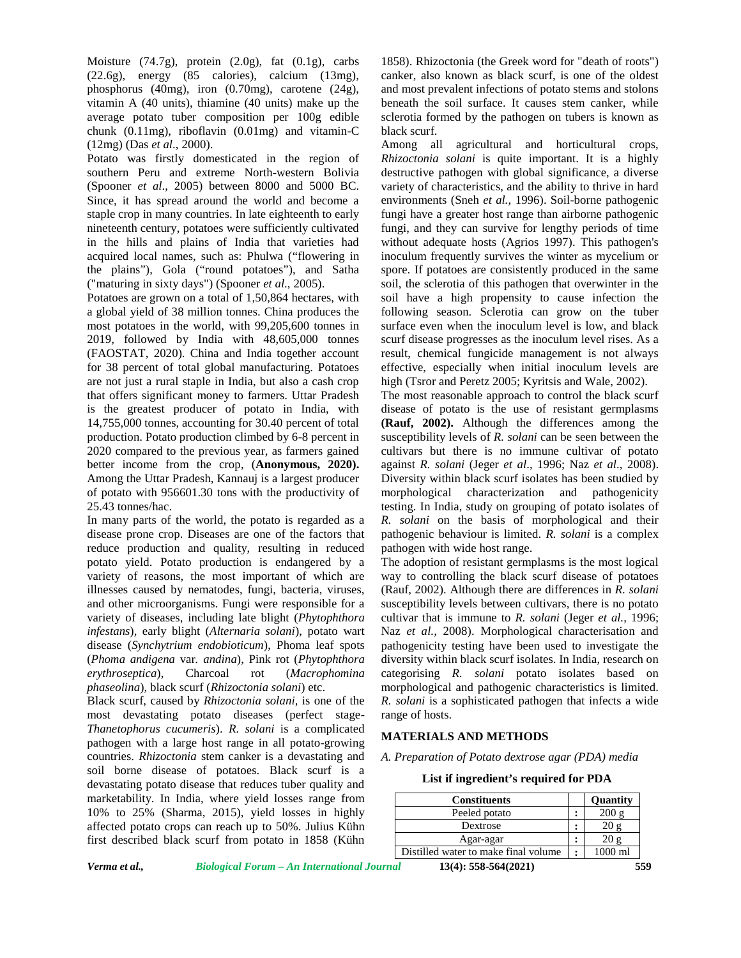Moisture  $(74.7g)$ , protein  $(2.0g)$ , fat  $(0.1g)$ , carbs (22.6g), energy (85 calories), calcium (13mg), phosphorus (40mg), iron (0.70mg), carotene (24g), vitamin A (40 units), thiamine (40 units) make up the average potato tuber composition per 100g edible chunk (0.11mg), riboflavin (0.01mg) and vitamin-C (12mg) (Das *et al*., 2000).

Potato was firstly domesticated in the region of southern Peru and extreme North-western Bolivia (Spooner *et al*., 2005) between 8000 and 5000 BC. Since, it has spread around the world and become a staple crop in many countries. In late eighteenth to early nineteenth century, potatoes were sufficiently cultivated in the hills and plains of India that varieties had acquired local names, such as: Phulwa ("flowering in the plains"), Gola ("round potatoes"), and Satha ("maturing in sixty days") (Spooner *et al*., 2005).

Potatoes are grown on a total of 1,50,864 hectares, with a global yield of 38 million tonnes. China produces the most potatoes in the world, with 99,205,600 tonnes in 2019, followed by India with 48,605,000 tonnes (FAOSTAT, 2020). China and India together account for 38 percent of total global manufacturing. Potatoes are not just a rural staple in India, but also a cash crop that offers significant money to farmers. Uttar Pradesh is the greatest producer of potato in India, with 14,755,000 tonnes, accounting for 30.40 percent of total production. Potato production climbed by 6-8 percent in 2020 compared to the previous year, as farmers gained better income from the crop, (**Anonymous, 2020).** Among the Uttar Pradesh, Kannauj is a largest producer of potato with 956601.30 tons with the productivity of 25.43 tonnes/hac.

In many parts of the world, the potato is regarded as a disease prone crop. Diseases are one of the factors that reduce production and quality, resulting in reduced potato yield. Potato production is endangered by a variety of reasons, the most important of which are illnesses caused by nematodes, fungi, bacteria, viruses, and other microorganisms. Fungi were responsible for a variety of diseases, including late blight (*Phytophthora infestans*), early blight (*Alternaria solani*), potato wart disease (*Synchytrium endobioticum*), Phoma leaf spots (*Phoma andigena* var*. andina*), Pink rot (*Phytophthora erythroseptica*), Charcoal rot (*Macrophomina phaseolina*), black scurf (*Rhizoctonia solani*) etc.

Black scurf, caused by *Rhizoctonia solani,* is one of the most devastating potato diseases (perfect stage- *Thanetophorus cucumeris*). *R. solani* is a complicated pathogen with a large host range in all potato-growing countries. *Rhizoctonia* stem canker is a devastating and soil borne disease of potatoes. Black scurf is a devastating potato disease that reduces tuber quality and marketability. In India, where yield losses range from 10% to 25% (Sharma, 2015), yield losses in highly affected potato crops can reach up to 50%. Julius Kühn first described black scurf from potato in 1858 (Kühn

1858). Rhizoctonia (the Greek word for "death of roots") canker, also known as black scurf, is one of the oldest and most prevalent infections of potato stems and stolons beneath the soil surface. It causes stem canker, while sclerotia formed by the pathogen on tubers is known as black scurf.

Among all agricultural and horticultural crops, *Rhizoctonia solani* is quite important. It is a highly destructive pathogen with global significance, a diverse variety of characteristics, and the ability to thrive in hard environments (Sneh *et al.,* 1996). Soil-borne pathogenic fungi have a greater host range than airborne pathogenic fungi, and they can survive for lengthy periods of time without adequate hosts (Agrios 1997). This pathogen's inoculum frequently survives the winter as mycelium or spore. If potatoes are consistently produced in the same soil, the sclerotia of this pathogen that overwinter in the soil have a high propensity to cause infection the following season. Sclerotia can grow on the tuber surface even when the inoculum level is low, and black scurf disease progresses as the inoculum level rises. As a result, chemical fungicide management is not always effective, especially when initial inoculum levels are high (Tsror and Peretz 2005; Kyritsis and Wale, 2002).

The most reasonable approach to control the black scurf disease of potato is the use of resistant germplasms **(Rauf, 2002).** Although the differences among the susceptibility levels of *R. solani* can be seen between the cultivars but there is no immune cultivar of potato against *R. solani* (Jeger *et al*., 1996; Naz *et al*., 2008). Diversity within black scurf isolates has been studied by morphological characterization and pathogenicity testing. In India, study on grouping of potato isolates of *R. solani* on the basis of morphological and their pathogenic behaviour is limited. *R. solani* is a complex pathogen with wide host range.

The adoption of resistant germplasms is the most logical way to controlling the black scurf disease of potatoes (Rauf, 2002). Although there are differences in *R. solani* susceptibility levels between cultivars, there is no potato cultivar that is immune to *R. solani* (Jeger *et al.,* 1996; Naz *et al.,* 2008). Morphological characterisation and pathogenicity testing have been used to investigate the diversity within black scurf isolates. In India, research on categorising *R. solani* potato isolates based on morphological and pathogenic characteristics is limited. *R. solani* is a sophisticated pathogen that infects a wide range of hosts.

# **MATERIALS AND METHODS**

*A. Preparation of Potato dextrose agar (PDA) media*

#### **List if ingredient's required for PDA**

| <b>Constituents</b>                  | <b>Quantity</b> |
|--------------------------------------|-----------------|
| Peeled potato                        |                 |
| Dextrose                             |                 |
| Agar-agar                            |                 |
| Distilled water to make final volume | 1000 ml         |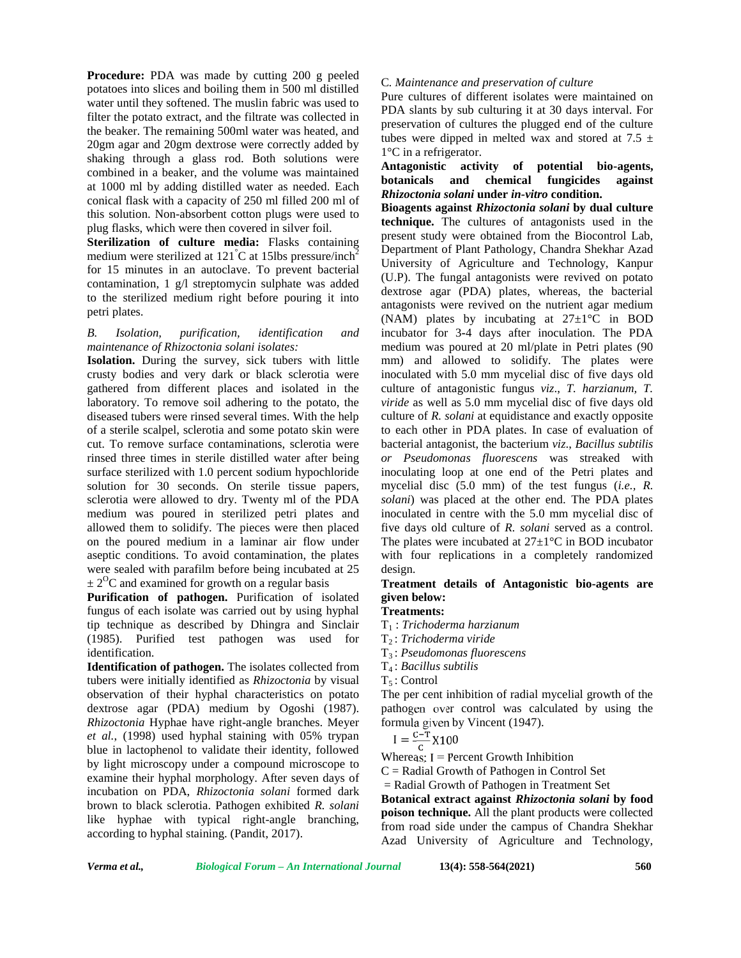**Procedure:** PDA was made by cutting 200 g peeled potatoes into slices and boiling them in 500 ml distilled water until they softened. The muslin fabric was used to filter the potato extract, and the filtrate was collected in the beaker. The remaining 500ml water was heated, and 20gm agar and 20gm dextrose were correctly added by shaking through a glass rod. Both solutions were combined in a beaker, and the volume was maintained  $\frac{\text{Anuagonist}}{\text{botanicals}}$ at 1000 ml by adding distilled water as needed. Each conical flask with a capacity of 250 ml filled 200 ml of this solution. Non-absorbent cotton plugs were used to plug flasks, which were then covered in silver foil.

**Sterilization of culture media:** Flasks containing medium were sterilized at  $121^{\circ}$ C at 15lbs pressure/inch<sup>2</sup> for 15 minutes in an autoclave. To prevent bacterial contamination, 1 g/l streptomycin sulphate was added to the sterilized medium right before pouring it into petri plates.

# *B. Isolation, purification, identification and maintenance of Rhizoctonia solani isolates:*

**Isolation.** During the survey, sick tubers with little crusty bodies and very dark or black sclerotia were gathered from different places and isolated in the laboratory. To remove soil adhering to the potato, the diseased tubers were rinsed several times. With the help of a sterile scalpel, sclerotia and some potato skin were cut. To remove surface contaminations, sclerotia were rinsed three times in sterile distilled water after being surface sterilized with 1.0 percent sodium hypochloride solution for 30 seconds. On sterile tissue papers, sclerotia were allowed to dry. Twenty ml of the PDA medium was poured in sterilized petri plates and allowed them to solidify. The pieces were then placed on the poured medium in a laminar air flow under aseptic conditions. To avoid contamination, the plates were sealed with parafilm before being incubated at 25  $\pm 2^{0}$ C and examined for growth on a regular basis

**Purification of pathogen.** Purification of isolated fungus of each isolate was carried out by using hyphal tip technique as described by Dhingra and Sinclair (1985). Purified test pathogen was used for identification.

**Identification of pathogen.** The isolates collected from tubers were initially identified as *Rhizoctonia* by visual observation of their hyphal characteristics on potato dextrose agar (PDA) medium by Ogoshi (1987). *Rhizoctonia* Hyphae have right-angle branches. Meyer *et al.*, (1998) used hyphal staining with 05% trypan blue in lactophenol to validate their identity, followed by light microscopy under a compound microscope to examine their hyphal morphology. After seven days of incubation on PDA, *Rhizoctonia solani* formed dark brown to black sclerotia. Pathogen exhibited *R. solani* like hyphae with typical right-angle branching, according to hyphal staining. (Pandit, 2017).

# C*. Maintenance and preservation of culture*

Pure cultures of different isolates were maintained on PDA slants by sub culturing it at 30 days interval. For preservation of cultures the plugged end of the culture tubes were dipped in melted wax and stored at 7.5  $\pm$ 1°C in a refrigerator.

# **Antagonistic activity of potential bio-agents, botanicals and chemical fungicides against** *Rhizoctonia solani* **under** *in-vitro* **condition.**

**Bioagents against** *Rhizoctonia solani* **by dual culture technique.** The cultures of antagonists used in the present study were obtained from the Biocontrol Lab, Department of Plant Pathology, Chandra Shekhar Azad University of Agriculture and Technology, Kanpur (U.P). The fungal antagonists were revived on potato dextrose agar (PDA) plates, whereas, the bacterial antagonists were revived on the nutrient agar medium (NAM) plates by incubating at 27±1°C in BOD incubator for 3**-**4 days after inoculation. The PDA medium was poured at 20 ml/plate in Petri plates (90 mm) and allowed to solidify. The plates were inoculated with 5.0 mm mycelial disc of five days old culture of antagonistic fungus *viz*., *T. harzianum, T. viride* as well as 5.0 mm mycelial disc of five days old culture of *R. solani* at equidistance and exactly opposite to each other in PDA plates. In case of evaluation of bacterial antagonist, the bacterium *viz*., *Bacillus subtilis or Pseudomonas fluorescens* was streaked with inoculating loop at one end of the Petri plates and mycelial disc (5.0 mm) of the test fungus (*i.e., R. solani*) was placed at the other end. The PDA plates inoculated in centre with the 5.0 mm mycelial disc of five days old culture of *R. solani* served as a control. The plates were incubated at  $27\pm1\,^{\circ}\text{C}$  in BOD incubator with four replications in a completely randomized design.

**Treatment details of Antagonistic bio-agents are given below:**

# **Treatments:**

- T<sup>1</sup> : *Trichoderma harzianum*
- T<sup>2</sup> : *Trichoderma viride*
- T<sup>3</sup> : *Pseudomonas fluorescens*
- T<sup>4</sup> : *Bacillus subtilis*
- $T_5$ : Control

The per cent inhibition of radial mycelial growth of the pathogen over control was calculated by using the formula given by Vincent (1947).

$$
I = \frac{C-T}{C}X100
$$

Whereas;  $I =$  Percent Growth Inhibition

 $C =$  Radial Growth of Pathogen in Control Set

= Radial Growth of Pathogen in Treatment Set

**Botanical extract against** *Rhizoctonia solani* **by food poison technique.** All the plant products were collected from road side under the campus of Chandra Shekhar Azad University of Agriculture and Technology,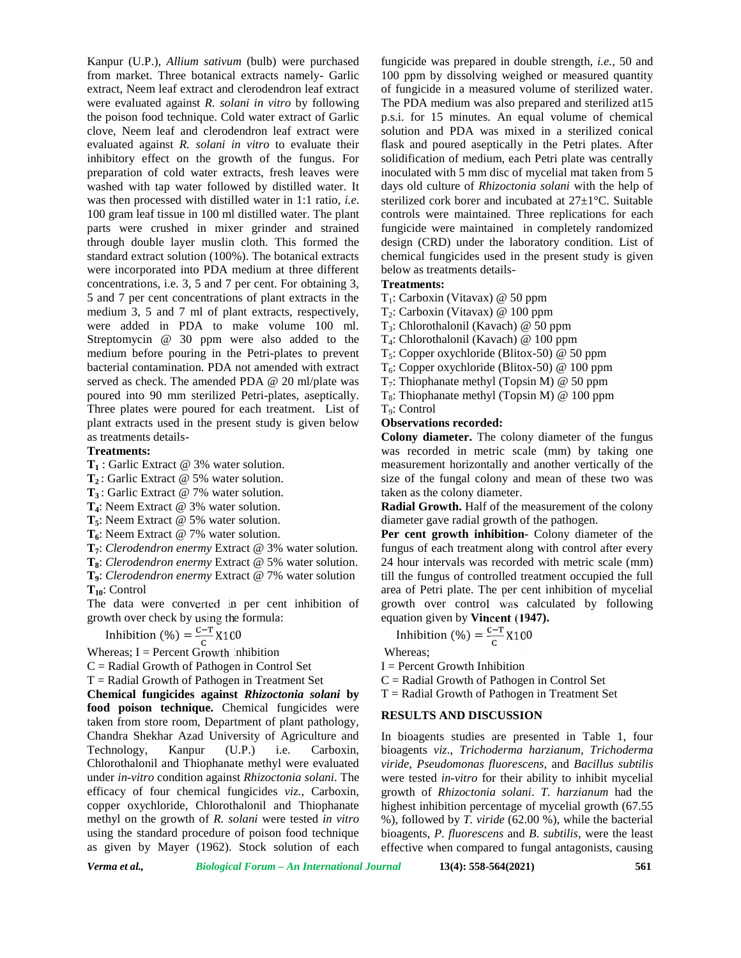Kanpur (U.P.), *Allium sativum* (bulb) were purchased from market. Three botanical extracts namely- Garlic extract, Neem leaf extract and clerodendron leaf extract were evaluated against *R. solani in vitro* by following the poison food technique. Cold water extract of Garlic clove, Neem leaf and clerodendron leaf extract were evaluated against *R. solani in vitro* to evaluate their inhibitory effect on the growth of the fungus. For preparation of cold water extracts, fresh leaves were washed with tap water followed by distilled water. It was then processed with distilled water in 1:1 ratio, *i.e*. 100 gram leaf tissue in 100 ml distilled water. The plant parts were crushed in mixer grinder and strained through double layer muslin cloth. This formed the standard extract solution (100%). The botanical extracts were incorporated into PDA medium at three different concentrations, i.e. 3, 5 and 7 per cent. For obtaining 3, 5 and 7 per cent concentrations of plant extracts in the medium 3, 5 and 7 ml of plant extracts, respectively, were added in PDA to make volume 100 ml. Streptomycin @ 30 ppm were also added to the medium before pouring in the Petri-plates to prevent bacterial contamination. PDA not amended with extract served as check. The amended PDA @ 20 ml/plate was poured into 90 mm sterilized Petri-plates, aseptically. Three plates were poured for each treatment. List of plant extracts used in the present study is given below as treatments details-

#### **Treatments:**

**T<sup>1</sup>** : Garlic Extract @ 3% water solution.

**T<sup>2</sup>** : Garlic Extract @ 5% water solution.

**T<sup>3</sup>** : Garlic Extract @ 7% water solution.

**T4**: Neem Extract @ 3% water solution.

**T5**: Neem Extract @ 5% water solution.

**T6**: Neem Extract @ 7% water solution.

**T7**: *Clerodendron enermy* Extract @ 3% water solution.

**T8**: *Clerodendron enermy* Extract @ 5% water solution.

**T9**: *Clerodendron enermy* Extract @ 7% water solution **T10**: Control

The data were converted in per cent inhibition of growth over check by using the formula:

Inhibition (%) =  $\frac{c-r}{c}$  X100

Whereas; I = Percent Growth Inhibition

 $C =$  Radial Growth of Pathogen in Control Set

 $T =$  Radial Growth of Pathogen in Treatment Set

**Chemical fungicides against** *Rhizoctonia solani* **by food poison technique.** Chemical fungicides were taken from store room, Department of plant pathology, Chandra Shekhar Azad University of Agriculture and Technology, Kanpur (U.P.) i.e. Carboxin, Chlorothalonil and Thiophanate methyl were evaluated under *in-vitro* condition against *Rhizoctonia solani*. The efficacy of four chemical fungicides *viz.,* Carboxin, copper oxychloride, Chlorothalonil and Thiophanate methyl on the growth of *R. solani* were tested *in vitro* using the standard procedure of poison food technique as given by Mayer (1962). Stock solution of each fungicide was prepared in double strength, *i.e.,* 50 and 100 ppm by dissolving weighed or measured quantity of fungicide in a measured volume of sterilized water. The PDA medium was also prepared and sterilized at15 p.s.i. for 15 minutes. An equal volume of chemical solution and PDA was mixed in a sterilized conical flask and poured aseptically in the Petri plates. After solidification of medium, each Petri plate was centrally inoculated with 5 mm disc of mycelial mat taken from 5 days old culture of *Rhizoctonia solani* with the help of sterilized cork borer and incubated at 27±1°C. Suitable controls were maintained. Three replications for each fungicide were maintained in completely randomized design (CRD) under the laboratory condition. List of chemical fungicides used in the present study is given below as treatments details-

### **Treatments:**

 $T_1$ : Carboxin (Vitavax) @ 50 ppm

T2: Carboxin (Vitavax) @ 100 ppm

T3: Chlorothalonil (Kavach) @ 50 ppm

T4: Chlorothalonil (Kavach) @ 100 ppm

 $T_5$ : Copper oxychloride (Blitox-50) @ 50 ppm

 $T<sub>6</sub>$ : Copper oxychloride (Blitox-50) @ 100 ppm

 $T_7$ : Thiophanate methyl (Topsin M) @ 50 ppm

 $T_8$ : Thiophanate methyl (Topsin M) @ 100 ppm

T<sub>9</sub>: Control

# **Observations recorded:**

**Colony diameter.** The colony diameter of the fungus was recorded in metric scale (mm) by taking one measurement horizontally and another vertically of the size of the fungal colony and mean of these two was taken as the colony diameter.

**Radial Growth.** Half of the measurement of the colony diameter gave radial growth of the pathogen.

**Per cent growth inhibition-** Colony diameter of the fungus of each treatment along with control after every 24 hour intervals was recorded with metric scale (mm) till the fungus of controlled treatment occupied the full area of Petri plate. The per cent inhibition of mycelial growth over control was calculated by following equation given by **Vincent (1947).**

Inhibition (%) = 
$$
\frac{c-r}{c} \times 100
$$

Whereas;

 $I =$  Percent Growth Inhibition

 $C =$  Radial Growth of Pathogen in Control Set

 $T =$  Radial Growth of Pathogen in Treatment Set

#### **RESULTS AND DISCUSSION**

In bioagents studies are presented in Table 1, four bioagents *viz*., *Trichoderma harzianum*, *Trichoderma viride*, *Pseudomonas fluorescens*, and *Bacillus subtilis* were tested *in-vitro* for their ability to inhibit mycelial growth of *Rhizoctonia solani*. *T. harzianum* had the highest inhibition percentage of mycelial growth (67.55 %), followed by *T. viride* (62.00 %), while the bacterial bioagents, *P. fluorescens* and *B. subtilis*, were the least effective when compared to fungal antagonists, causing

*Verma et al., Biological Forum – An International Journal* **13(4): 558-564(2021) 561**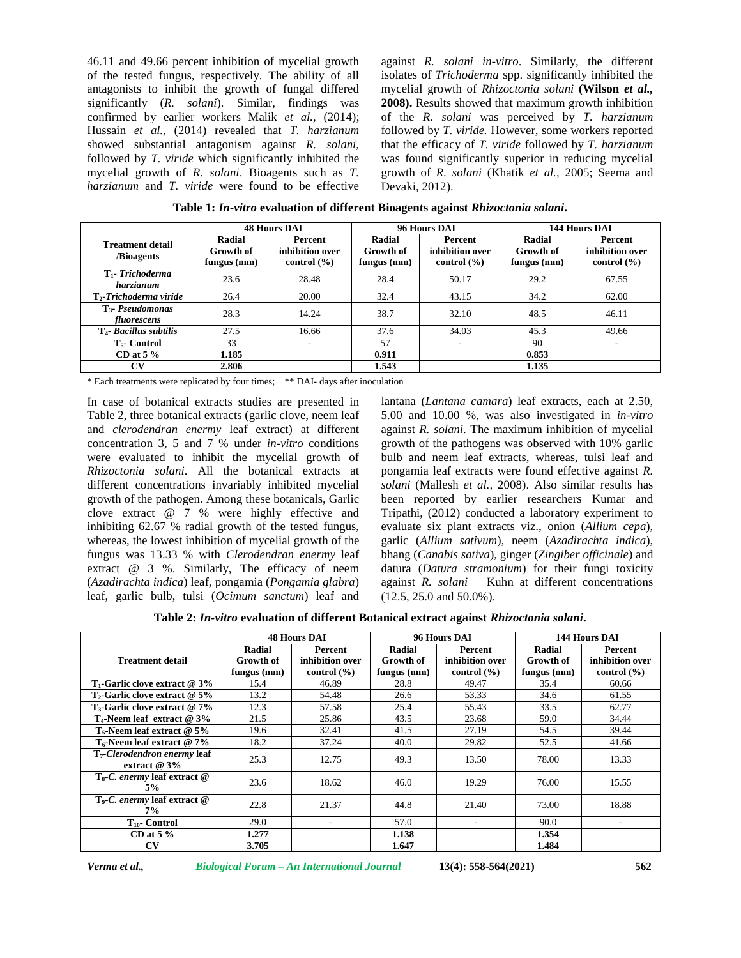46.11 and 49.66 percent inhibition of mycelial growth of the tested fungus, respectively. The ability of all antagonists to inhibit the growth of fungal differed significantly (*R. solani*). Similar, findings was confirmed by earlier workers Malik et al., (2014); Hussain *et al.,* (2014) revealed that *T. harzianum* showed substantial antagonism against *R. solani,* followed by *T. viride* which significantly inhibited the mycelial growth of *R. solani*. Bioagents such as *T. harzianum* and *T. viride* were found to be effective against *R. solani in-vitro*. Similarly, the different isolates of *Trichoderma* spp. significantly inhibited the mycelial growth of *Rhizoctonia solani* **(Wilson** *et al.,* **2008).** Results showed that maximum growth inhibition of the *R. solani* was perceived by *T. harzianum* followed by *T. viride.* However, some workers reported that the efficacy of *T. viride* followed by *T. harzianum* was found significantly superior in reducing mycelial growth of *R. solani* (Khatik *et al.,* 2005; Seema and Devaki, 2012).

|                                       | <b>48 Hours DAI</b>                |                                               |                                    | 96 Hours DAI                                  | 144 Hours DAI                      |                                                                         |
|---------------------------------------|------------------------------------|-----------------------------------------------|------------------------------------|-----------------------------------------------|------------------------------------|-------------------------------------------------------------------------|
| <b>Treatment detail</b><br>/Bioagents | Radial<br>Growth of<br>fungus (mm) | Percent<br>inhibition over<br>control $(\% )$ | Radial<br>Growth of<br>fungus (mm) | Percent<br>inhibition over<br>control $(\% )$ | Radial<br>Growth of<br>fungus (mm) | <b>Percent</b><br>inhibition over<br>control $\left(\frac{9}{6}\right)$ |
| $T_1$ - Trichoderma<br>harzianum      | 23.6                               | 28.48                                         | 28.4                               | 50.17                                         | 29.2                               | 67.55                                                                   |
| T <sub>2</sub> -Trichoderma viride    | 26.4                               | 20.00                                         | 32.4                               | 43.15                                         | 34.2                               | 62.00                                                                   |
| $T3$ - Pseudomonas<br>fluorescens     | 28.3                               | 14.24                                         | 38.7                               | 32.10                                         | 48.5                               | 46.11                                                                   |
| T <sub>4</sub> - Bacillus subtilis    | 27.5                               | 16.66                                         | 37.6                               | 34.03                                         | 45.3                               | 49.66                                                                   |
| $T5$ - Control                        | 33                                 | $\overline{\phantom{a}}$                      | 57                                 | ٠                                             | 90                                 |                                                                         |
| CD at $5\%$                           | 1.185                              |                                               | 0.911                              |                                               | 0.853                              |                                                                         |
| CV                                    | 2.806                              |                                               | 1.543                              |                                               | 1.135                              |                                                                         |

**Table 1:** *In-vitro* **evaluation of different Bioagents against** *Rhizoctonia solani***.**

\* Each treatments were replicated by four times; \*\* DAI- days after inoculation

In case of botanical extracts studies are presented in Table 2, three botanical extracts (garlic clove, neem leaf and *clerodendran enermy* leaf extract) at different concentration 3, 5 and 7 % under *in-vitro* conditions were evaluated to inhibit the mycelial growth of *Rhizoctonia solani*. All the botanical extracts at different concentrations invariably inhibited mycelial growth of the pathogen. Among these botanicals, Garlic clove extract @ 7 % were highly effective and inhibiting 62.67 % radial growth of the tested fungus, whereas, the lowest inhibition of mycelial growth of the fungus was 13.33 % with *Clerodendran enermy* leaf extract @ 3 %. Similarly, The efficacy of neem (*Azadirachta indica*) leaf, pongamia (*Pongamia glabra*) leaf, garlic bulb, tulsi (*Ocimum sanctum*) leaf and

lantana (*Lantana camara*) leaf extracts, each at 2.50, 5.00 and 10.00 %, was also investigated in *in-vitro* against *R. solani*. The maximum inhibition of mycelial growth of the pathogens was observed with 10% garlic bulb and neem leaf extracts, whereas, tulsi leaf and pongamia leaf extracts were found effective against *R. solani* (Mallesh *et al.,* 2008). Also similar results has been reported by earlier researchers Kumar and Tripathi, (2012) conducted a laboratory experiment to evaluate six plant extracts viz., onion (*Allium cepa*), garlic (*Allium sativum*), neem (*Azadirachta indica*), bhang (*Canabis sativa*), ginger (*Zingiber officinale*) and datura (*Datura stramonium*) for their fungi toxicity Kuhn at different concentrations (12.5, 25.0 and 50.0%).

**Table 2:** *In-vitro* **evaluation of different Botanical extract against** *Rhizoctonia solani***.**

|                                                  |                                      | <b>48 Hours DAI</b><br>96 Hours DAI           |                                      |                                               | 144 Hours DAI                      |                                               |
|--------------------------------------------------|--------------------------------------|-----------------------------------------------|--------------------------------------|-----------------------------------------------|------------------------------------|-----------------------------------------------|
| <b>Treatment detail</b>                          | Radial<br>Growth of<br>fungus $(mm)$ | Percent<br>inhibition over<br>control $(\% )$ | Radial<br>Growth of<br>fungus $(mm)$ | Percent<br>inhibition over<br>control $(\% )$ | Radial<br>Growth of<br>fungus (mm) | Percent<br>inhibition over<br>control $(\% )$ |
| $T_1$ -Garlic clove extract @ 3%                 | 15.4                                 | 46.89                                         | 28.8                                 | 49.47                                         | 35.4                               | 60.66                                         |
| $T_2$ -Garlic clove extract @ 5%                 | 13.2                                 | 54.48                                         | 26.6                                 | 53.33                                         | 34.6                               | 61.55                                         |
| $T_3$ -Garlic clove extract @ 7%                 | 12.3                                 | 57.58                                         | 25.4                                 | 55.43                                         | 33.5                               | 62.77                                         |
| $T_4$ -Neem leaf extract @ 3%                    | 21.5                                 | 25.86                                         | 43.5                                 | 23.68                                         | 59.0                               | 34.44                                         |
| $T_5$ -Neem leaf extract @ 5%                    | 19.6                                 | 32.41                                         | 41.5                                 | 27.19                                         | 54.5                               | 39.44                                         |
| $T_6$ -Neem leaf extract @ 7%                    | 18.2                                 | 37.24                                         | 40.0                                 | 29.82                                         | 52.5                               | 41.66                                         |
| $T7$ -Clerodendron enermy leaf<br>extract $@3\%$ | 25.3                                 | 12.75                                         | 49.3                                 | 13.50                                         | 78.00                              | 13.33                                         |
| $T_s$ - <i>C. enermy</i> leaf extract $@$<br>5%  | 23.6                                 | 18.62                                         | 46.0                                 | 19.29                                         | 76.00                              | 15.55                                         |
| $T_9$ - <i>C. enermy</i> leaf extract $@$<br>7%  | 22.8                                 | 21.37                                         | 44.8                                 | 21.40                                         | 73.00                              | 18.88                                         |
| $T_{10}$ - Control                               | 29.0                                 |                                               | 57.0                                 |                                               | 90.0                               | ۰                                             |
| CD at $5\%$                                      | 1.277                                |                                               | 1.138                                |                                               | 1.354                              |                                               |
| $\mathbf{C}\mathbf{V}$                           | 3.705                                |                                               | 1.647                                |                                               | 1.484                              |                                               |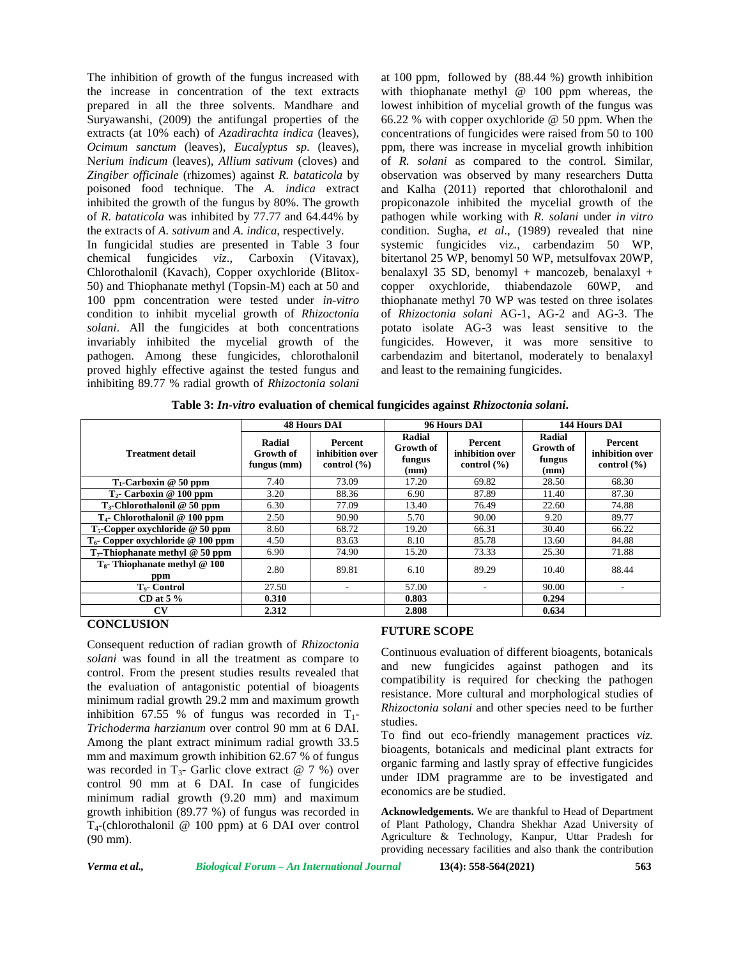The inhibition of growth of the fungus increased with the increase in concentration of the text extracts prepared in all the three solvents. Mandhare and Suryawanshi, (2009) the antifungal properties of the extracts (at 10% each) of *Azadirachta indica* (leaves), *Ocimum sanctum* (leaves), *Eucalyptus sp*. (leaves), N*erium indicum* (leaves), *Allium sativum* (cloves) and *Zingiber officinale* (rhizomes) against *R. bataticola* by poisoned food technique. The *A. indica* extract inhibited the growth of the fungus by 80%. The growth of *R. bataticola* was inhibited by 77.77 and 64.44% by the extracts of *A. sativum* and *A. indica*, respectively. In fungicidal studies are presented in Table 3 four chemical fungicides *viz*., Carboxin (Vitavax), Chlorothalonil (Kavach), Copper oxychloride (Blitox- 50) and Thiophanate methyl (Topsin-M) each at 50 and 100 ppm concentration were tested under *in-vitro* condition to inhibit mycelial growth of *Rhizoctonia solani*. All the fungicides at both concentrations invariably inhibited the mycelial growth of the pathogen. Among these fungicides, chlorothalonil proved highly effective against the tested fungus and inhibiting 89.77 % radial growth of *Rhizoctonia solani*

at 100 ppm, followed by (88.44 %) growth inhibition with thiophanate methyl @ 100 ppm whereas, the lowest inhibition of mycelial growth of the fungus was 66.22 % with copper oxychloride @ 50 ppm. When the concentrations of fungicides were raised from 50 to 100 ppm, there was increase in mycelial growth inhibition of *R. solani* as compared to the control*.* Similar, observation was observed by many researchers Dutta and Kalha (2011) reported that chlorothalonil and propiconazole inhibited the mycelial growth of the pathogen while working with *R. solani* under *in vitro* condition. Sugha, *et al*., (1989) revealed that nine systemic fungicides viz., carbendazim 50 WP, bitertanol 25 WP, benomyl 50 WP, metsulfovax 20WP, benalaxyl 35 SD, benomyl + mancozeb, benalaxyl + copper oxychloride, thiabendazole 60WP, and thiophanate methyl 70 WP was tested on three isolates of *Rhizoctonia solani* AG-1, AG-2 and AG-3. The potato isolate AG-3 was least sensitive to the fungicides. However, it was more sensitive to carbendazim and bitertanol, moderately to benalaxyl and least to the remaining fungicides.

**Table 3:** *In-vitro* **evaluation of chemical fungicides against** *Rhizoctonia solani***.**

|                                         | <b>48 Hours DAI</b>                |                                                      |                                       | 96 Hours DAI                                  | 144 Hours DAI                                |                                               |
|-----------------------------------------|------------------------------------|------------------------------------------------------|---------------------------------------|-----------------------------------------------|----------------------------------------------|-----------------------------------------------|
| <b>Treatment detail</b>                 | Radial<br>Growth of<br>fungus (mm) | <b>Percent</b><br>inhibition over<br>control $(\% )$ | Radial<br>Growth of<br>fungus<br>(mm) | Percent<br>inhibition over<br>control $(\% )$ | Radial<br><b>Growth of</b><br>fungus<br>(mm) | Percent<br>inhibition over<br>control $(\% )$ |
| $T_1$ -Carboxin @ 50 ppm                | 7.40                               | 73.09                                                | 17.20                                 | 69.82                                         | 28.50                                        | 68.30                                         |
| $T_2$ - Carboxin @ 100 ppm              | 3.20                               | 88.36                                                | 6.90                                  | 87.89                                         | 11.40                                        | 87.30                                         |
| $T_3$ -Chlorothalonil @ 50 ppm          | 6.30                               | 77.09                                                | 13.40                                 | 76.49                                         | 22.60                                        | 74.88                                         |
| $T_4$ - Chlorothalonil @ 100 ppm        | 2.50                               | 90.90                                                | 5.70                                  | 90.00                                         | 9.20                                         | 89.77                                         |
| $T5$ -Copper oxychloride @ 50 ppm       | 8.60                               | 68.72                                                | 19.20                                 | 66.31                                         | 30.40                                        | 66.22                                         |
| $T_6$ - Copper oxychloride @ 100 ppm    | 4.50                               | 83.63                                                | 8.10                                  | 85.78                                         | 13.60                                        | 84.88                                         |
| $T7$ -Thiophanate methyl @ 50 ppm       | 6.90                               | 74.90                                                | 15.20                                 | 73.33                                         | 25.30                                        | 71.88                                         |
| $T_s$ - Thiophanate methyl @ 100<br>ppm | 2.80                               | 89.81                                                | 6.10                                  | 89.29                                         | 10.40                                        | 88.44                                         |
| T <sub>o</sub> - Control                | 27.50                              |                                                      | 57.00                                 | $\overline{\phantom{a}}$                      | 90.00                                        | ۰                                             |
| CD at $5\%$                             | 0.310                              |                                                      | 0.803                                 |                                               | 0.294                                        |                                               |
| <b>CV</b>                               | 2.312                              |                                                      | 2.808                                 |                                               | 0.634                                        |                                               |

### **CONCLUSION**

Consequent reduction of radian growth of *Rhizoctonia solani* was found in all the treatment as compare to control. From the present studies results revealed that the evaluation of antagonistic potential of bioagents minimum radial growth 29.2 mm and maximum growth inhibition 67.55 % of fungus was recorded in  $T_1$ -*Trichoderma harzianum* over control 90 mm at 6 DAI. Among the plant extract minimum radial growth 33.5 mm and maximum growth inhibition 62.67 % of fungus was recorded in  $T_3$ - Garlic clove extract @ 7 %) over control 90 mm at 6 DAI. In case of fungicides minimum radial growth (9.20 mm) and maximum growth inhibition (89.77 %) of fungus was recorded in T4-(chlorothalonil @ 100 ppm) at 6 DAI over control (90 mm).

# **FUTURE SCOPE**

Continuous evaluation of different bioagents, botanicals and new fungicides against pathogen and its compatibility is required for checking the pathogen resistance. More cultural and morphological studies of *Rhizoctonia solani* and other species need to be further studies.

To find out eco-friendly management practices *viz.* bioagents, botanicals and medicinal plant extracts for organic farming and lastly spray of effective fungicides under IDM pragramme are to be investigated and economics are be studied.

**Acknowledgements.** We are thankful to Head of Department of Plant Pathology, Chandra Shekhar Azad University of Agriculture & Technology, Kanpur, Uttar Pradesh for providing necessary facilities and also thank the contribution

*Verma et al., Biological Forum – An International Journal* **13(4): 558-564(2021) 563**